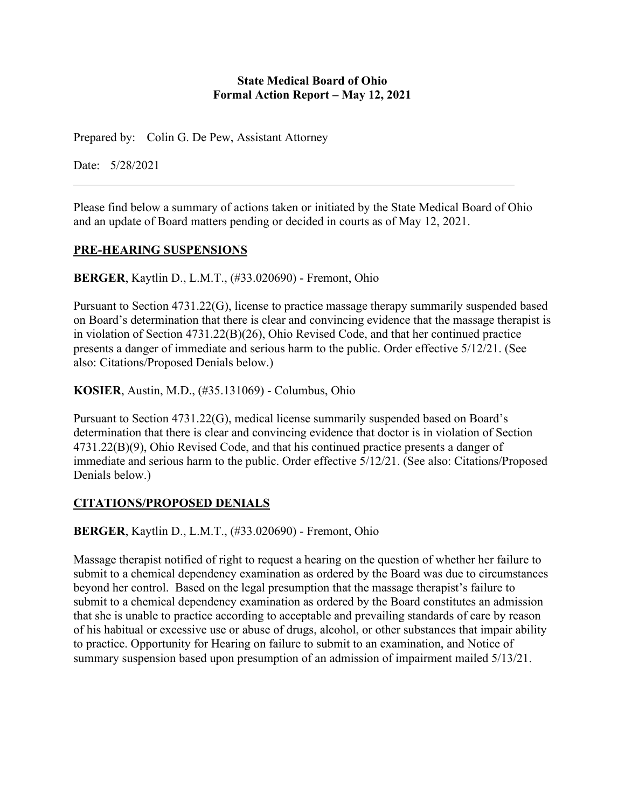### **State Medical Board of Ohio Formal Action Report – May 12, 2021**

Prepared by: Colin G. De Pew, Assistant Attorney

Date: 5/28/2021

Please find below a summary of actions taken or initiated by the State Medical Board of Ohio and an update of Board matters pending or decided in courts as of May 12, 2021.

### **PRE-HEARING SUSPENSIONS**

**BERGER**, Kaytlin D., L.M.T., (#33.020690) - Fremont, Ohio

Pursuant to Section 4731.22(G), license to practice massage therapy summarily suspended based on Board's determination that there is clear and convincing evidence that the massage therapist is in violation of Section 4731.22(B)(26), Ohio Revised Code, and that her continued practice presents a danger of immediate and serious harm to the public. Order effective 5/12/21. (See also: Citations/Proposed Denials below.)

**KOSIER**, Austin, M.D., (#35.131069) - Columbus, Ohio

Pursuant to Section 4731.22(G), medical license summarily suspended based on Board's determination that there is clear and convincing evidence that doctor is in violation of Section 4731.22(B)(9), Ohio Revised Code, and that his continued practice presents a danger of immediate and serious harm to the public. Order effective 5/12/21. (See also: Citations/Proposed Denials below.)

# **CITATIONS/PROPOSED DENIALS**

**BERGER**, Kaytlin D., L.M.T., (#33.020690) - Fremont, Ohio

Massage therapist notified of right to request a hearing on the question of whether her failure to submit to a chemical dependency examination as ordered by the Board was due to circumstances beyond her control. Based on the legal presumption that the massage therapist's failure to submit to a chemical dependency examination as ordered by the Board constitutes an admission that she is unable to practice according to acceptable and prevailing standards of care by reason of his habitual or excessive use or abuse of drugs, alcohol, or other substances that impair ability to practice. Opportunity for Hearing on failure to submit to an examination, and Notice of summary suspension based upon presumption of an admission of impairment mailed 5/13/21.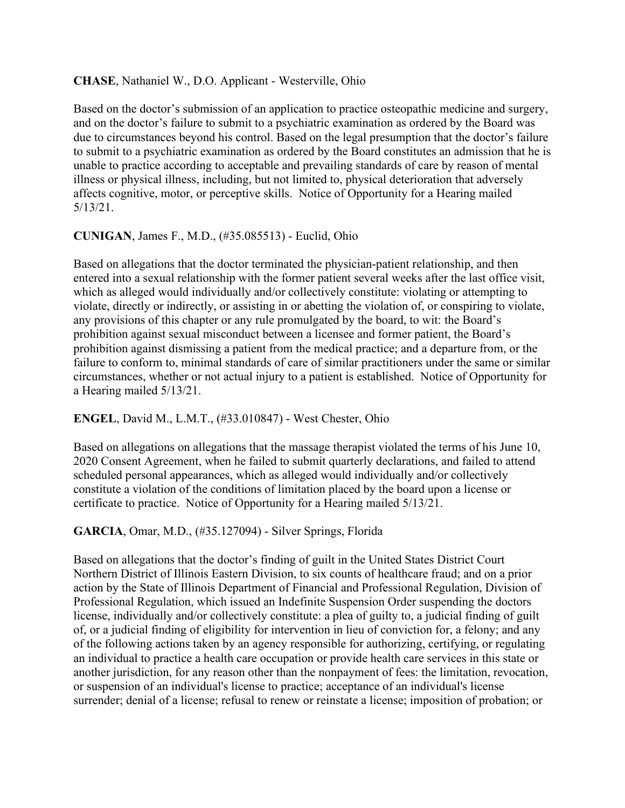### **CHASE**, Nathaniel W., D.O. Applicant - Westerville, Ohio

Based on the doctor's submission of an application to practice osteopathic medicine and surgery, and on the doctor's failure to submit to a psychiatric examination as ordered by the Board was due to circumstances beyond his control. Based on the legal presumption that the doctor's failure to submit to a psychiatric examination as ordered by the Board constitutes an admission that he is unable to practice according to acceptable and prevailing standards of care by reason of mental illness or physical illness, including, but not limited to, physical deterioration that adversely affects cognitive, motor, or perceptive skills. Notice of Opportunity for a Hearing mailed 5/13/21.

### **CUNIGAN**, James F., M.D., (#35.085513) - Euclid, Ohio

Based on allegations that the doctor terminated the physician-patient relationship, and then entered into a sexual relationship with the former patient several weeks after the last office visit, which as alleged would individually and/or collectively constitute: violating or attempting to violate, directly or indirectly, or assisting in or abetting the violation of, or conspiring to violate, any provisions of this chapter or any rule promulgated by the board, to wit: the Board's prohibition against sexual misconduct between a licensee and former patient, the Board's prohibition against dismissing a patient from the medical practice; and a departure from, or the failure to conform to, minimal standards of care of similar practitioners under the same or similar circumstances, whether or not actual injury to a patient is established. Notice of Opportunity for a Hearing mailed 5/13/21.

#### **ENGEL**, David M., L.M.T., (#33.010847) - West Chester, Ohio

Based on allegations on allegations that the massage therapist violated the terms of his June 10, 2020 Consent Agreement, when he failed to submit quarterly declarations, and failed to attend scheduled personal appearances, which as alleged would individually and/or collectively constitute a violation of the conditions of limitation placed by the board upon a license or certificate to practice. Notice of Opportunity for a Hearing mailed 5/13/21.

#### **GARCIA**, Omar, M.D., (#35.127094) - Silver Springs, Florida

Based on allegations that the doctor's finding of guilt in the United States District Court Northern District of Illinois Eastern Division, to six counts of healthcare fraud; and on a prior action by the State of Illinois Department of Financial and Professional Regulation, Division of Professional Regulation, which issued an Indefinite Suspension Order suspending the doctors license, individually and/or collectively constitute: a plea of guilty to, a judicial finding of guilt of, or a judicial finding of eligibility for intervention in lieu of conviction for, a felony; and any of the following actions taken by an agency responsible for authorizing, certifying, or regulating an individual to practice a health care occupation or provide health care services in this state or another jurisdiction, for any reason other than the nonpayment of fees: the limitation, revocation, or suspension of an individual's license to practice; acceptance of an individual's license surrender; denial of a license; refusal to renew or reinstate a license; imposition of probation; or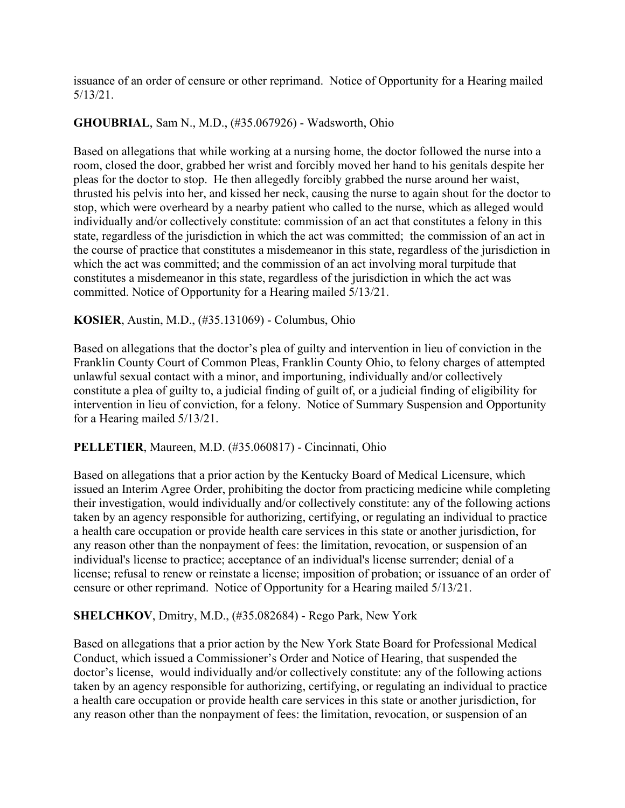issuance of an order of censure or other reprimand. Notice of Opportunity for a Hearing mailed 5/13/21.

# **GHOUBRIAL**, Sam N., M.D., (#35.067926) - Wadsworth, Ohio

Based on allegations that while working at a nursing home, the doctor followed the nurse into a room, closed the door, grabbed her wrist and forcibly moved her hand to his genitals despite her pleas for the doctor to stop. He then allegedly forcibly grabbed the nurse around her waist, thrusted his pelvis into her, and kissed her neck, causing the nurse to again shout for the doctor to stop, which were overheard by a nearby patient who called to the nurse, which as alleged would individually and/or collectively constitute: commission of an act that constitutes a felony in this state, regardless of the jurisdiction in which the act was committed; the commission of an act in the course of practice that constitutes a misdemeanor in this state, regardless of the jurisdiction in which the act was committed; and the commission of an act involving moral turpitude that constitutes a misdemeanor in this state, regardless of the jurisdiction in which the act was committed. Notice of Opportunity for a Hearing mailed 5/13/21.

# **KOSIER**, Austin, M.D., (#35.131069) - Columbus, Ohio

Based on allegations that the doctor's plea of guilty and intervention in lieu of conviction in the Franklin County Court of Common Pleas, Franklin County Ohio, to felony charges of attempted unlawful sexual contact with a minor, and importuning, individually and/or collectively constitute a plea of guilty to, a judicial finding of guilt of, or a judicial finding of eligibility for intervention in lieu of conviction, for a felony. Notice of Summary Suspension and Opportunity for a Hearing mailed 5/13/21.

# **PELLETIER**, Maureen, M.D. (#35.060817) - Cincinnati, Ohio

Based on allegations that a prior action by the Kentucky Board of Medical Licensure, which issued an Interim Agree Order, prohibiting the doctor from practicing medicine while completing their investigation, would individually and/or collectively constitute: any of the following actions taken by an agency responsible for authorizing, certifying, or regulating an individual to practice a health care occupation or provide health care services in this state or another jurisdiction, for any reason other than the nonpayment of fees: the limitation, revocation, or suspension of an individual's license to practice; acceptance of an individual's license surrender; denial of a license; refusal to renew or reinstate a license; imposition of probation; or issuance of an order of censure or other reprimand. Notice of Opportunity for a Hearing mailed 5/13/21.

# **SHELCHKOV**, Dmitry, M.D., (#35.082684) - Rego Park, New York

Based on allegations that a prior action by the New York State Board for Professional Medical Conduct, which issued a Commissioner's Order and Notice of Hearing, that suspended the doctor's license, would individually and/or collectively constitute: any of the following actions taken by an agency responsible for authorizing, certifying, or regulating an individual to practice a health care occupation or provide health care services in this state or another jurisdiction, for any reason other than the nonpayment of fees: the limitation, revocation, or suspension of an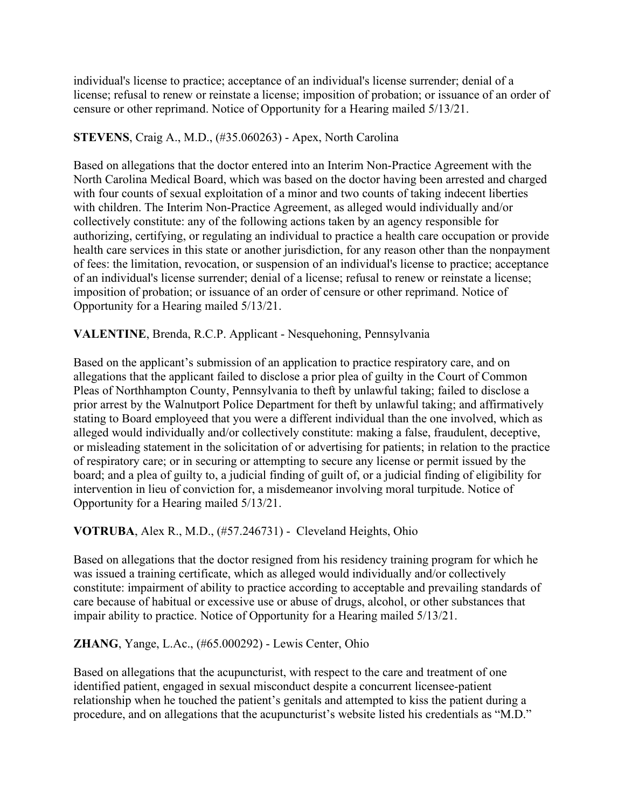individual's license to practice; acceptance of an individual's license surrender; denial of a license; refusal to renew or reinstate a license; imposition of probation; or issuance of an order of censure or other reprimand. Notice of Opportunity for a Hearing mailed 5/13/21.

# **STEVENS**, Craig A., M.D., (#35.060263) - Apex, North Carolina

Based on allegations that the doctor entered into an Interim Non-Practice Agreement with the North Carolina Medical Board, which was based on the doctor having been arrested and charged with four counts of sexual exploitation of a minor and two counts of taking indecent liberties with children. The Interim Non-Practice Agreement, as alleged would individually and/or collectively constitute: any of the following actions taken by an agency responsible for authorizing, certifying, or regulating an individual to practice a health care occupation or provide health care services in this state or another jurisdiction, for any reason other than the nonpayment of fees: the limitation, revocation, or suspension of an individual's license to practice; acceptance of an individual's license surrender; denial of a license; refusal to renew or reinstate a license; imposition of probation; or issuance of an order of censure or other reprimand. Notice of Opportunity for a Hearing mailed 5/13/21.

# **VALENTINE**, Brenda, R.C.P. Applicant - Nesquehoning, Pennsylvania

Based on the applicant's submission of an application to practice respiratory care, and on allegations that the applicant failed to disclose a prior plea of guilty in the Court of Common Pleas of Northhampton County, Pennsylvania to theft by unlawful taking; failed to disclose a prior arrest by the Walnutport Police Department for theft by unlawful taking; and affirmatively stating to Board employeed that you were a different individual than the one involved, which as alleged would individually and/or collectively constitute: making a false, fraudulent, deceptive, or misleading statement in the solicitation of or advertising for patients; in relation to the practice of respiratory care; or in securing or attempting to secure any license or permit issued by the board; and a plea of guilty to, a judicial finding of guilt of, or a judicial finding of eligibility for intervention in lieu of conviction for, a misdemeanor involving moral turpitude. Notice of Opportunity for a Hearing mailed 5/13/21.

# **VOTRUBA**, Alex R., M.D., (#57.246731) - Cleveland Heights, Ohio

Based on allegations that the doctor resigned from his residency training program for which he was issued a training certificate, which as alleged would individually and/or collectively constitute: impairment of ability to practice according to acceptable and prevailing standards of care because of habitual or excessive use or abuse of drugs, alcohol, or other substances that impair ability to practice. Notice of Opportunity for a Hearing mailed 5/13/21.

# **ZHANG**, Yange, L.Ac., (#65.000292) - Lewis Center, Ohio

Based on allegations that the acupuncturist, with respect to the care and treatment of one identified patient, engaged in sexual misconduct despite a concurrent licensee-patient relationship when he touched the patient's genitals and attempted to kiss the patient during a procedure, and on allegations that the acupuncturist's website listed his credentials as "M.D."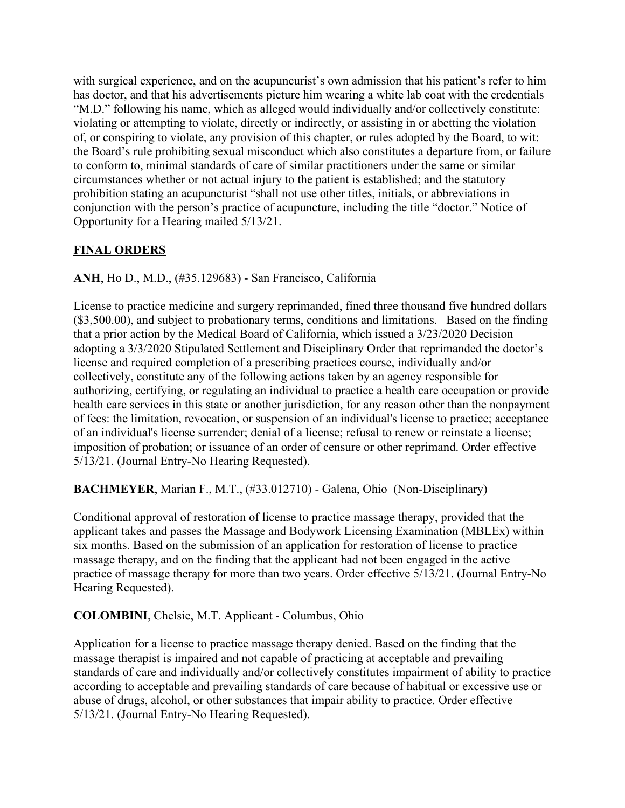with surgical experience, and on the acupuncurist's own admission that his patient's refer to him has doctor, and that his advertisements picture him wearing a white lab coat with the credentials "M.D." following his name, which as alleged would individually and/or collectively constitute: violating or attempting to violate, directly or indirectly, or assisting in or abetting the violation of, or conspiring to violate, any provision of this chapter, or rules adopted by the Board, to wit: the Board's rule prohibiting sexual misconduct which also constitutes a departure from, or failure to conform to, minimal standards of care of similar practitioners under the same or similar circumstances whether or not actual injury to the patient is established; and the statutory prohibition stating an acupuncturist "shall not use other titles, initials, or abbreviations in conjunction with the person's practice of acupuncture, including the title "doctor." Notice of Opportunity for a Hearing mailed 5/13/21.

# **FINAL ORDERS**

**ANH**, Ho D., M.D., (#35.129683) - San Francisco, California

License to practice medicine and surgery reprimanded, fined three thousand five hundred dollars (\$3,500.00), and subject to probationary terms, conditions and limitations. Based on the finding that a prior action by the Medical Board of California, which issued a 3/23/2020 Decision adopting a 3/3/2020 Stipulated Settlement and Disciplinary Order that reprimanded the doctor's license and required completion of a prescribing practices course, individually and/or collectively, constitute any of the following actions taken by an agency responsible for authorizing, certifying, or regulating an individual to practice a health care occupation or provide health care services in this state or another jurisdiction, for any reason other than the nonpayment of fees: the limitation, revocation, or suspension of an individual's license to practice; acceptance of an individual's license surrender; denial of a license; refusal to renew or reinstate a license; imposition of probation; or issuance of an order of censure or other reprimand. Order effective 5/13/21. (Journal Entry-No Hearing Requested).

**BACHMEYER**, Marian F., M.T., (#33.012710) - Galena, Ohio (Non-Disciplinary)

Conditional approval of restoration of license to practice massage therapy, provided that the applicant takes and passes the Massage and Bodywork Licensing Examination (MBLEx) within six months. Based on the submission of an application for restoration of license to practice massage therapy, and on the finding that the applicant had not been engaged in the active practice of massage therapy for more than two years. Order effective 5/13/21. (Journal Entry-No Hearing Requested).

**COLOMBINI**, Chelsie, M.T. Applicant - Columbus, Ohio

Application for a license to practice massage therapy denied. Based on the finding that the massage therapist is impaired and not capable of practicing at acceptable and prevailing standards of care and individually and/or collectively constitutes impairment of ability to practice according to acceptable and prevailing standards of care because of habitual or excessive use or abuse of drugs, alcohol, or other substances that impair ability to practice. Order effective 5/13/21. (Journal Entry-No Hearing Requested).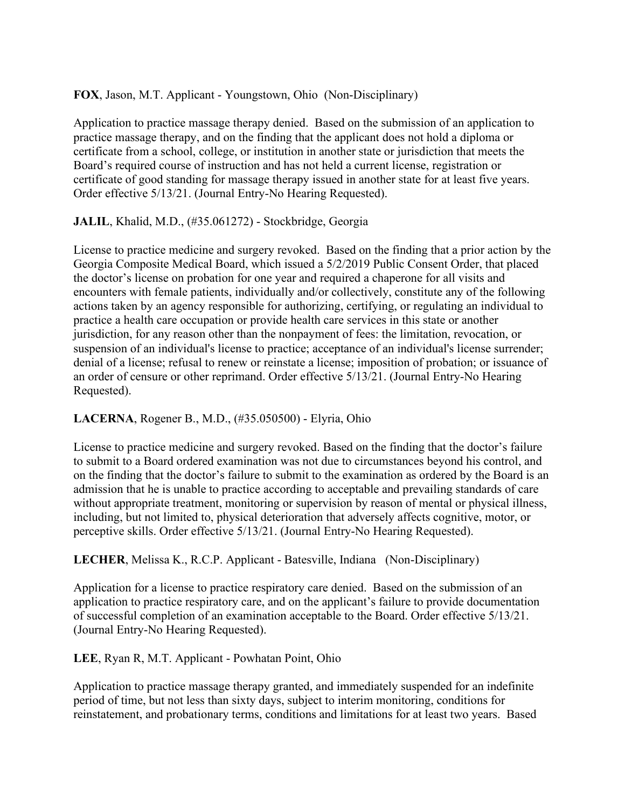**FOX**, Jason, M.T. Applicant - Youngstown, Ohio (Non-Disciplinary)

Application to practice massage therapy denied. Based on the submission of an application to practice massage therapy, and on the finding that the applicant does not hold a diploma or certificate from a school, college, or institution in another state or jurisdiction that meets the Board's required course of instruction and has not held a current license, registration or certificate of good standing for massage therapy issued in another state for at least five years. Order effective 5/13/21. (Journal Entry-No Hearing Requested).

**JALIL**, Khalid, M.D., (#35.061272) - Stockbridge, Georgia

License to practice medicine and surgery revoked. Based on the finding that a prior action by the Georgia Composite Medical Board, which issued a 5/2/2019 Public Consent Order, that placed the doctor's license on probation for one year and required a chaperone for all visits and encounters with female patients, individually and/or collectively, constitute any of the following actions taken by an agency responsible for authorizing, certifying, or regulating an individual to practice a health care occupation or provide health care services in this state or another jurisdiction, for any reason other than the nonpayment of fees: the limitation, revocation, or suspension of an individual's license to practice; acceptance of an individual's license surrender; denial of a license; refusal to renew or reinstate a license; imposition of probation; or issuance of an order of censure or other reprimand. Order effective 5/13/21. (Journal Entry-No Hearing Requested).

**LACERNA**, Rogener B., M.D., (#35.050500) - Elyria, Ohio

License to practice medicine and surgery revoked. Based on the finding that the doctor's failure to submit to a Board ordered examination was not due to circumstances beyond his control, and on the finding that the doctor's failure to submit to the examination as ordered by the Board is an admission that he is unable to practice according to acceptable and prevailing standards of care without appropriate treatment, monitoring or supervision by reason of mental or physical illness, including, but not limited to, physical deterioration that adversely affects cognitive, motor, or perceptive skills. Order effective 5/13/21. (Journal Entry-No Hearing Requested).

**LECHER**, Melissa K., R.C.P. Applicant - Batesville, Indiana (Non-Disciplinary)

Application for a license to practice respiratory care denied. Based on the submission of an application to practice respiratory care, and on the applicant's failure to provide documentation of successful completion of an examination acceptable to the Board. Order effective 5/13/21. (Journal Entry-No Hearing Requested).

**LEE**, Ryan R, M.T. Applicant - Powhatan Point, Ohio

Application to practice massage therapy granted, and immediately suspended for an indefinite period of time, but not less than sixty days, subject to interim monitoring, conditions for reinstatement, and probationary terms, conditions and limitations for at least two years. Based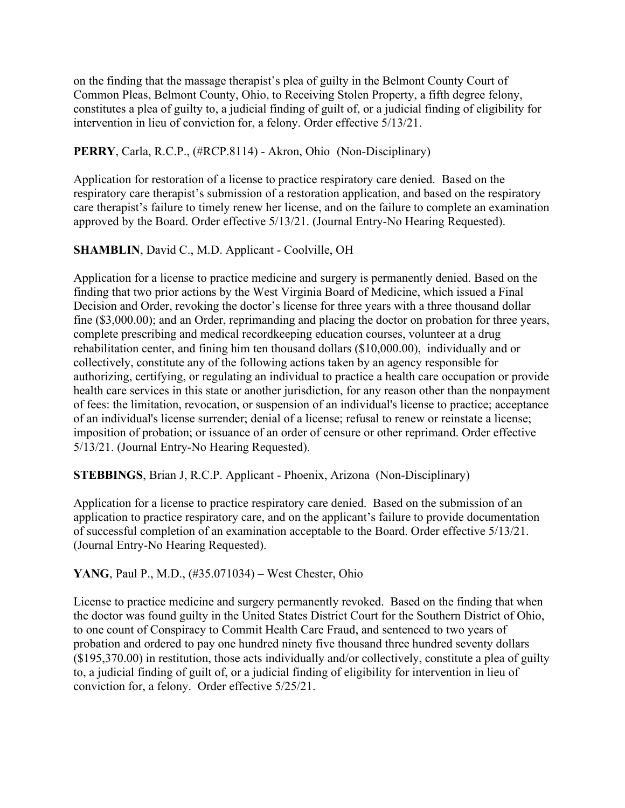on the finding that the massage therapist's plea of guilty in the Belmont County Court of Common Pleas, Belmont County, Ohio, to Receiving Stolen Property, a fifth degree felony, constitutes a plea of guilty to, a judicial finding of guilt of, or a judicial finding of eligibility for intervention in lieu of conviction for, a felony. Order effective 5/13/21.

# **PERRY**, Carla, R.C.P., (#RCP.8114) - Akron, Ohio (Non-Disciplinary)

Application for restoration of a license to practice respiratory care denied. Based on the respiratory care therapist's submission of a restoration application, and based on the respiratory care therapist's failure to timely renew her license, and on the failure to complete an examination approved by the Board. Order effective 5/13/21. (Journal Entry-No Hearing Requested).

# **SHAMBLIN**, David C., M.D. Applicant - Coolville, OH

Application for a license to practice medicine and surgery is permanently denied. Based on the finding that two prior actions by the West Virginia Board of Medicine, which issued a Final Decision and Order, revoking the doctor's license for three years with a three thousand dollar fine (\$3,000.00); and an Order, reprimanding and placing the doctor on probation for three years, complete prescribing and medical recordkeeping education courses, volunteer at a drug rehabilitation center, and fining him ten thousand dollars (\$10,000.00), individually and or collectively, constitute any of the following actions taken by an agency responsible for authorizing, certifying, or regulating an individual to practice a health care occupation or provide health care services in this state or another jurisdiction, for any reason other than the nonpayment of fees: the limitation, revocation, or suspension of an individual's license to practice; acceptance of an individual's license surrender; denial of a license; refusal to renew or reinstate a license; imposition of probation; or issuance of an order of censure or other reprimand. Order effective 5/13/21. (Journal Entry-No Hearing Requested).

# **STEBBINGS**, Brian J, R.C.P. Applicant - Phoenix, Arizona (Non-Disciplinary)

Application for a license to practice respiratory care denied. Based on the submission of an application to practice respiratory care, and on the applicant's failure to provide documentation of successful completion of an examination acceptable to the Board. Order effective 5/13/21. (Journal Entry-No Hearing Requested).

# **YANG**, Paul P., M.D., (#35.071034) – West Chester, Ohio

License to practice medicine and surgery permanently revoked. Based on the finding that when the doctor was found guilty in the United States District Court for the Southern District of Ohio, to one count of Conspiracy to Commit Health Care Fraud, and sentenced to two years of probation and ordered to pay one hundred ninety five thousand three hundred seventy dollars (\$195,370.00) in restitution, those acts individually and/or collectively, constitute a plea of guilty to, a judicial finding of guilt of, or a judicial finding of eligibility for intervention in lieu of conviction for, a felony. Order effective 5/25/21.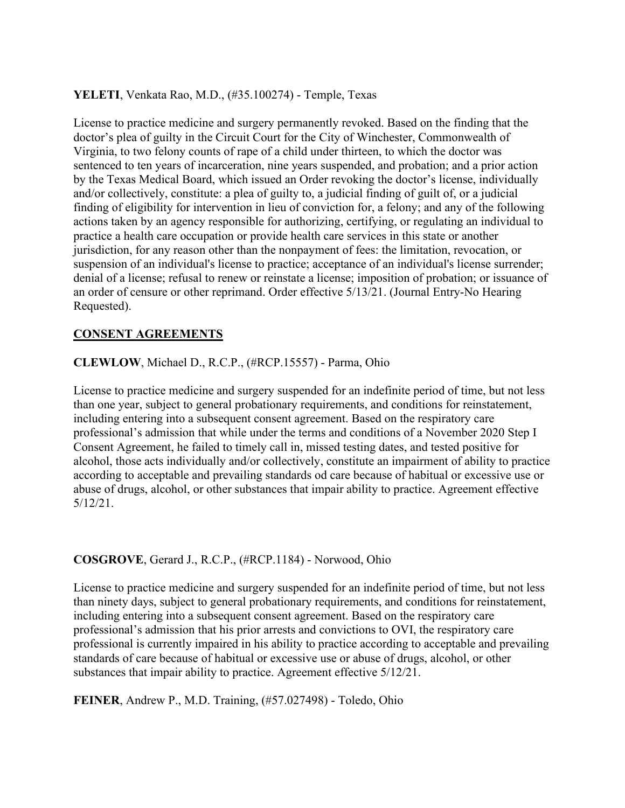### **YELETI**, Venkata Rao, M.D., (#35.100274) - Temple, Texas

License to practice medicine and surgery permanently revoked. Based on the finding that the doctor's plea of guilty in the Circuit Court for the City of Winchester, Commonwealth of Virginia, to two felony counts of rape of a child under thirteen, to which the doctor was sentenced to ten years of incarceration, nine years suspended, and probation; and a prior action by the Texas Medical Board, which issued an Order revoking the doctor's license, individually and/or collectively, constitute: a plea of guilty to, a judicial finding of guilt of, or a judicial finding of eligibility for intervention in lieu of conviction for, a felony; and any of the following actions taken by an agency responsible for authorizing, certifying, or regulating an individual to practice a health care occupation or provide health care services in this state or another jurisdiction, for any reason other than the nonpayment of fees: the limitation, revocation, or suspension of an individual's license to practice; acceptance of an individual's license surrender; denial of a license; refusal to renew or reinstate a license; imposition of probation; or issuance of an order of censure or other reprimand. Order effective 5/13/21. (Journal Entry-No Hearing Requested).

# **CONSENT AGREEMENTS**

### **CLEWLOW**, Michael D., R.C.P., (#RCP.15557) - Parma, Ohio

License to practice medicine and surgery suspended for an indefinite period of time, but not less than one year, subject to general probationary requirements, and conditions for reinstatement, including entering into a subsequent consent agreement. Based on the respiratory care professional's admission that while under the terms and conditions of a November 2020 Step I Consent Agreement, he failed to timely call in, missed testing dates, and tested positive for alcohol, those acts individually and/or collectively, constitute an impairment of ability to practice according to acceptable and prevailing standards od care because of habitual or excessive use or abuse of drugs, alcohol, or other substances that impair ability to practice. Agreement effective 5/12/21.

#### **COSGROVE**, Gerard J., R.C.P., (#RCP.1184) - Norwood, Ohio

License to practice medicine and surgery suspended for an indefinite period of time, but not less than ninety days, subject to general probationary requirements, and conditions for reinstatement, including entering into a subsequent consent agreement. Based on the respiratory care professional's admission that his prior arrests and convictions to OVI, the respiratory care professional is currently impaired in his ability to practice according to acceptable and prevailing standards of care because of habitual or excessive use or abuse of drugs, alcohol, or other substances that impair ability to practice. Agreement effective 5/12/21.

**FEINER**, Andrew P., M.D. Training, (#57.027498) - Toledo, Ohio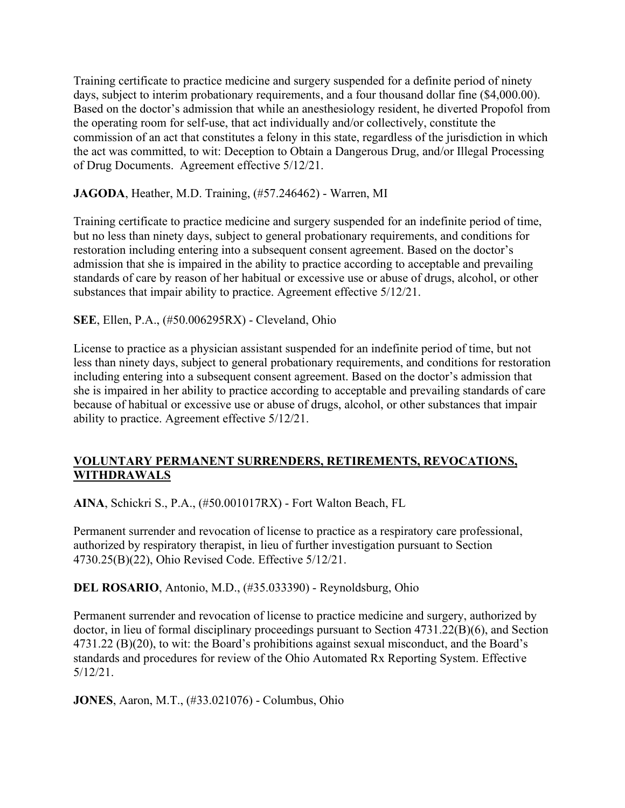Training certificate to practice medicine and surgery suspended for a definite period of ninety days, subject to interim probationary requirements, and a four thousand dollar fine (\$4,000.00). Based on the doctor's admission that while an anesthesiology resident, he diverted Propofol from the operating room for self-use, that act individually and/or collectively, constitute the commission of an act that constitutes a felony in this state, regardless of the jurisdiction in which the act was committed, to wit: Deception to Obtain a Dangerous Drug, and/or Illegal Processing of Drug Documents. Agreement effective 5/12/21.

### **JAGODA**, Heather, M.D. Training, (#57.246462) - Warren, MI

Training certificate to practice medicine and surgery suspended for an indefinite period of time, but no less than ninety days, subject to general probationary requirements, and conditions for restoration including entering into a subsequent consent agreement. Based on the doctor's admission that she is impaired in the ability to practice according to acceptable and prevailing standards of care by reason of her habitual or excessive use or abuse of drugs, alcohol, or other substances that impair ability to practice. Agreement effective 5/12/21.

### **SEE**, Ellen, P.A., (#50.006295RX) - Cleveland, Ohio

License to practice as a physician assistant suspended for an indefinite period of time, but not less than ninety days, subject to general probationary requirements, and conditions for restoration including entering into a subsequent consent agreement. Based on the doctor's admission that she is impaired in her ability to practice according to acceptable and prevailing standards of care because of habitual or excessive use or abuse of drugs, alcohol, or other substances that impair ability to practice. Agreement effective 5/12/21.

# **VOLUNTARY PERMANENT SURRENDERS, RETIREMENTS, REVOCATIONS, WITHDRAWALS**

**AINA**, Schickri S., P.A., (#50.001017RX) - Fort Walton Beach, FL

Permanent surrender and revocation of license to practice as a respiratory care professional, authorized by respiratory therapist, in lieu of further investigation pursuant to Section 4730.25(B)(22), Ohio Revised Code. Effective 5/12/21.

**DEL ROSARIO**, Antonio, M.D., (#35.033390) - Reynoldsburg, Ohio

Permanent surrender and revocation of license to practice medicine and surgery, authorized by doctor, in lieu of formal disciplinary proceedings pursuant to Section 4731.22(B)(6), and Section 4731.22 (B)(20), to wit: the Board's prohibitions against sexual misconduct, and the Board's standards and procedures for review of the Ohio Automated Rx Reporting System. Effective 5/12/21.

**JONES**, Aaron, M.T., (#33.021076) - Columbus, Ohio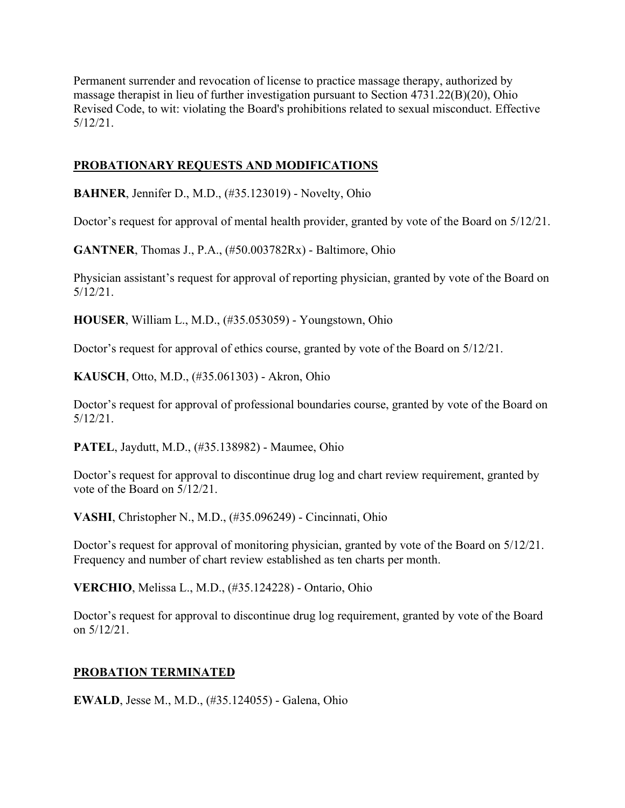Permanent surrender and revocation of license to practice massage therapy, authorized by massage therapist in lieu of further investigation pursuant to Section 4731.22(B)(20), Ohio Revised Code, to wit: violating the Board's prohibitions related to sexual misconduct. Effective 5/12/21.

# **PROBATIONARY REQUESTS AND MODIFICATIONS**

**BAHNER**, Jennifer D., M.D., (#35.123019) - Novelty, Ohio

Doctor's request for approval of mental health provider, granted by vote of the Board on 5/12/21.

**GANTNER**, Thomas J., P.A., (#50.003782Rx) - Baltimore, Ohio

Physician assistant's request for approval of reporting physician, granted by vote of the Board on 5/12/21.

**HOUSER**, William L., M.D., (#35.053059) - Youngstown, Ohio

Doctor's request for approval of ethics course, granted by vote of the Board on 5/12/21.

**KAUSCH**, Otto, M.D., (#35.061303) - Akron, Ohio

Doctor's request for approval of professional boundaries course, granted by vote of the Board on 5/12/21.

**PATEL**, Jaydutt, M.D., (#35.138982) - Maumee, Ohio

Doctor's request for approval to discontinue drug log and chart review requirement, granted by vote of the Board on 5/12/21.

**VASHI**, Christopher N., M.D., (#35.096249) - Cincinnati, Ohio

Doctor's request for approval of monitoring physician, granted by vote of the Board on 5/12/21. Frequency and number of chart review established as ten charts per month.

**VERCHIO**, Melissa L., M.D., (#35.124228) - Ontario, Ohio

Doctor's request for approval to discontinue drug log requirement, granted by vote of the Board on 5/12/21.

# **PROBATION TERMINATED**

**EWALD**, Jesse M., M.D., (#35.124055) - Galena, Ohio